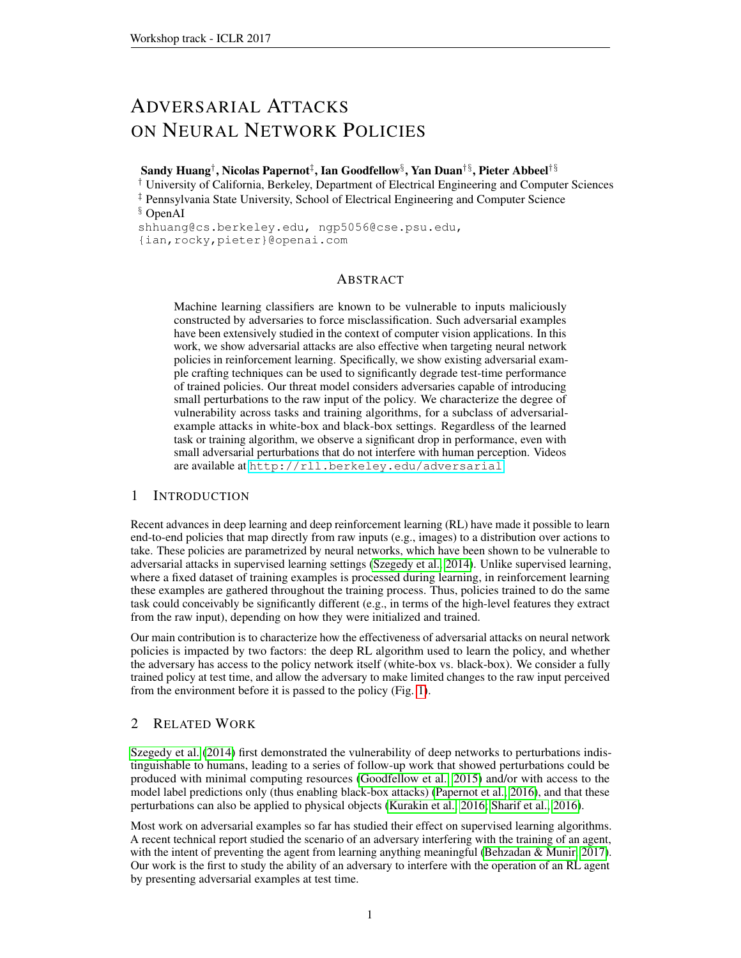# ADVERSARIAL ATTACKS ON NEURAL NETWORK POLICIES

Sandy Huang†, Nicolas Papernot‡, Ian Goodfellow§, Yan Duan†§, Pieter Abbeel†§

† University of California, Berkeley, Department of Electrical Engineering and Computer Sciences ‡ Pennsylvania State University, School of Electrical Engineering and Computer Science § OpenAI

shhuang@cs.berkeley.edu, ngp5056@cse.psu.edu,

{ian,rocky,pieter}@openai.com

## ABSTRACT

Machine learning classifiers are known to be vulnerable to inputs maliciously constructed by adversaries to force misclassification. Such adversarial examples have been extensively studied in the context of computer vision applications. In this work, we show adversarial attacks are also effective when targeting neural network policies in reinforcement learning. Specifically, we show existing adversarial example crafting techniques can be used to significantly degrade test-time performance of trained policies. Our threat model considers adversaries capable of introducing small perturbations to the raw input of the policy. We characterize the degree of vulnerability across tasks and training algorithms, for a subclass of adversarialexample attacks in white-box and black-box settings. Regardless of the learned task or training algorithm, we observe a significant drop in performance, even with small adversarial perturbations that do not interfere with human perception. Videos are available at <http://rll.berkeley.edu/adversarial>.

## 1 INTRODUCTION

Recent advances in deep learning and deep reinforcement learning (RL) have made it possible to learn end-to-end policies that map directly from raw inputs (e.g., images) to a distribution over actions to take. These policies are parametrized by neural networks, which have been shown to be vulnerable to adversarial attacks in supervised learning settings [\(Szegedy et al., 2014\)](#page-3-0). Unlike supervised learning, where a fixed dataset of training examples is processed during learning, in reinforcement learning these examples are gathered throughout the training process. Thus, policies trained to do the same task could conceivably be significantly different (e.g., in terms of the high-level features they extract from the raw input), depending on how they were initialized and trained.

Our main contribution is to characterize how the effectiveness of adversarial attacks on neural network policies is impacted by two factors: the deep RL algorithm used to learn the policy, and whether the adversary has access to the policy network itself (white-box vs. black-box). We consider a fully trained policy at test time, and allow the adversary to make limited changes to the raw input perceived from the environment before it is passed to the policy (Fig. [1\)](#page-1-0).

## 2 RELATED WORK

[Szegedy et al.](#page-3-0) [\(2014\)](#page-3-0) first demonstrated the vulnerability of deep networks to perturbations indistinguishable to humans, leading to a series of follow-up work that showed perturbations could be produced with minimal computing resources [\(Goodfellow et al., 2015\)](#page-3-1) and/or with access to the model label predictions only (thus enabling black-box attacks) [\(Papernot et al., 2016\)](#page-3-2), and that these perturbations can also be applied to physical objects [\(Kurakin et al., 2016;](#page-3-3) [Sharif et al., 2016\)](#page-3-4).

Most work on adversarial examples so far has studied their effect on supervised learning algorithms. A recent technical report studied the scenario of an adversary interfering with the training of an agent, with the intent of preventing the agent from learning anything meaningful [\(Behzadan & Munir, 2017\)](#page-3-5). Our work is the first to study the ability of an adversary to interfere with the operation of an RL agent by presenting adversarial examples at test time.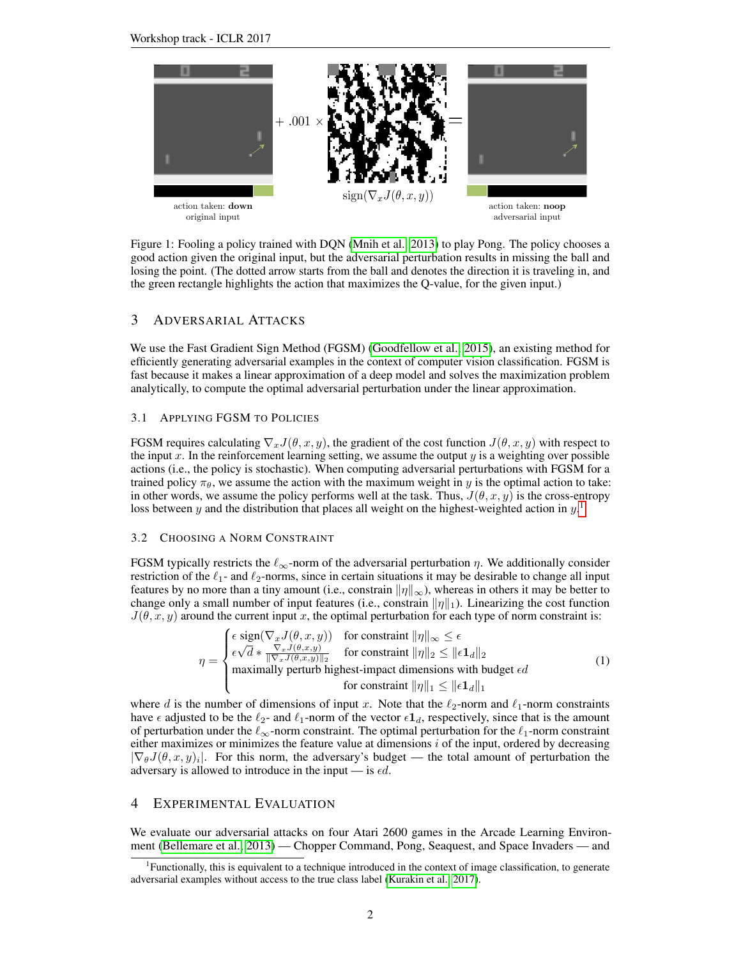<span id="page-1-0"></span>

Figure 1: Fooling a policy trained with DQN [\(Mnih et al., 2013\)](#page-3-6) to play Pong. The policy chooses a good action given the original input, but the adversarial perturbation results in missing the ball and losing the point. (The dotted arrow starts from the ball and denotes the direction it is traveling in, and the green rectangle highlights the action that maximizes the Q-value, for the given input.)

#### 3 ADVERSARIAL ATTACKS

We use the Fast Gradient Sign Method (FGSM) [\(Goodfellow et al., 2015\)](#page-3-1), an existing method for efficiently generating adversarial examples in the context of computer vision classification. FGSM is fast because it makes a linear approximation of a deep model and solves the maximization problem analytically, to compute the optimal adversarial perturbation under the linear approximation.

#### 3.1 APPLYING FGSM TO POLICIES

FGSM requires calculating  $\nabla_x J(\theta, x, y)$ , the gradient of the cost function  $J(\theta, x, y)$  with respect to the input x. In the reinforcement learning setting, we assume the output  $y$  is a weighting over possible actions (i.e., the policy is stochastic). When computing adversarial perturbations with FGSM for a trained policy  $\pi_{\theta}$ , we assume the action with the maximum weight in y is the optimal action to take: in other words, we assume the policy performs well at the task. Thus,  $J(\theta, x, y)$  is the cross-entropy loss between y and the distribution that places all weight on the highest-weighted action in  $y$ <sup>[1](#page-1-1)</sup>.

#### 3.2 CHOOSING A NORM CONSTRAINT

 $\gamma$ 

FGSM typically restricts the  $\ell_{\infty}$ -norm of the adversarial perturbation  $\eta$ . We additionally consider restriction of the  $\ell_1$ - and  $\ell_2$ -norms, since in certain situations it may be desirable to change all input features by no more than a tiny amount (i.e., constrain  $\|\eta\|_{\infty}$ ), whereas in others it may be better to change only a small number of input features (i.e., constrain  $\|\eta\|_1$ ). Linearizing the cost function  $J(\theta, x, y)$  around the current input x, the optimal perturbation for each type of norm constraint is:

$$
\eta = \begin{cases} \epsilon \operatorname{sign}(\nabla_x J(\theta, x, y)) & \text{for constraint } \|\eta\|_{\infty} \le \epsilon \\ \epsilon \sqrt{d} * \frac{\nabla_x J(\theta, x, y)}{\|\nabla_x J(\theta, x, y)\|_2} & \text{for constraint } \|\eta\|_2 \le \|\epsilon \mathbf{1}_d\|_2 \\ \text{maximally perturb highest-impact dimensions with budget } \epsilon d \\ & \text{for constraint } \|\eta\|_1 \le \|\epsilon \mathbf{1}_d\|_1 \end{cases} \tag{1}
$$

where d is the number of dimensions of input x. Note that the  $\ell_2$ -norm and  $\ell_1$ -norm constraints have  $\epsilon$  adjusted to be the  $\ell_{2}$ - and  $\ell_{1}$ -norm of the vector  $\epsilon \mathbf{1}_{d}$ , respectively, since that is the amount of perturbation under the  $\ell_{\infty}$ -norm constraint. The optimal perturbation for the  $\ell_1$ -norm constraint either maximizes or minimizes the feature value at dimensions  $i$  of the input, ordered by decreasing  $|\nabla_{\theta}J(\theta,x,y)|$ . For this norm, the adversary's budget — the total amount of perturbation the adversary is allowed to introduce in the input — is  $\epsilon d$ .

### 4 EXPERIMENTAL EVALUATION

We evaluate our adversarial attacks on four Atari 2600 games in the Arcade Learning Environment [\(Bellemare et al., 2013\)](#page-3-7) — Chopper Command, Pong, Seaquest, and Space Invaders — and

<span id="page-1-1"></span><sup>&</sup>lt;sup>1</sup>Functionally, this is equivalent to a technique introduced in the context of image classification, to generate adversarial examples without access to the true class label [\(Kurakin et al., 2017\)](#page-3-8).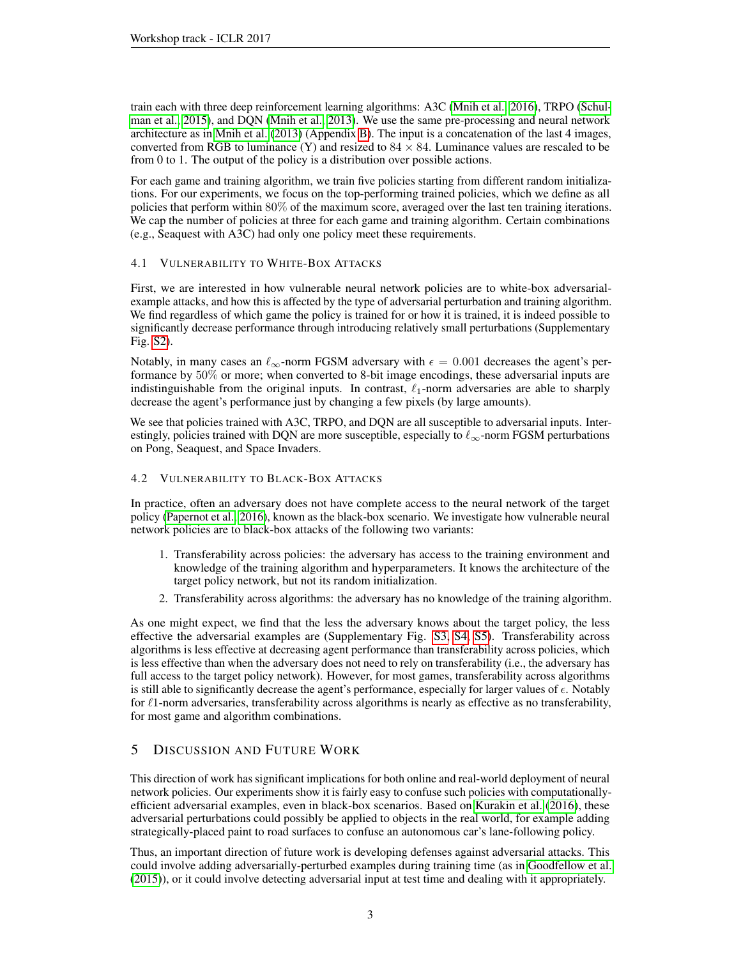train each with three deep reinforcement learning algorithms: A3C [\(Mnih et al., 2016\)](#page-3-9), TRPO [\(Schul](#page-3-10)[man et al., 2015\)](#page-3-10), and DQN [\(Mnih et al., 2013\)](#page-3-6). We use the same pre-processing and neural network architecture as in [Mnih et al.](#page-3-6) [\(2013\)](#page-3-6) (Appendix [B\)](#page-6-0). The input is a concatenation of the last 4 images, converted from RGB to luminance (Y) and resized to  $84 \times 84$ . Luminance values are rescaled to be from 0 to 1. The output of the policy is a distribution over possible actions.

For each game and training algorithm, we train five policies starting from different random initializations. For our experiments, we focus on the top-performing trained policies, which we define as all policies that perform within 80% of the maximum score, averaged over the last ten training iterations. We cap the number of policies at three for each game and training algorithm. Certain combinations (e.g., Seaquest with A3C) had only one policy meet these requirements.

### 4.1 VULNERABILITY TO WHITE-BOX ATTACKS

First, we are interested in how vulnerable neural network policies are to white-box adversarialexample attacks, and how this is affected by the type of adversarial perturbation and training algorithm. We find regardless of which game the policy is trained for or how it is trained, it is indeed possible to significantly decrease performance through introducing relatively small perturbations (Supplementary Fig. [S2\)](#page-4-0).

Notably, in many cases an  $\ell_{\infty}$ -norm FGSM adversary with  $\epsilon = 0.001$  decreases the agent's performance by 50% or more; when converted to 8-bit image encodings, these adversarial inputs are indistinguishable from the original inputs. In contrast,  $\ell_1$ -norm adversaries are able to sharply decrease the agent's performance just by changing a few pixels (by large amounts).

We see that policies trained with A3C, TRPO, and DQN are all susceptible to adversarial inputs. Interestingly, policies trained with DQN are more susceptible, especially to  $\ell_{\infty}$ -norm FGSM perturbations on Pong, Seaquest, and Space Invaders.

#### 4.2 VULNERABILITY TO BLACK-BOX ATTACKS

In practice, often an adversary does not have complete access to the neural network of the target policy [\(Papernot et al., 2016\)](#page-3-2), known as the black-box scenario. We investigate how vulnerable neural network policies are to black-box attacks of the following two variants:

- 1. Transferability across policies: the adversary has access to the training environment and knowledge of the training algorithm and hyperparameters. It knows the architecture of the target policy network, but not its random initialization.
- 2. Transferability across algorithms: the adversary has no knowledge of the training algorithm.

As one might expect, we find that the less the adversary knows about the target policy, the less effective the adversarial examples are (Supplementary Fig. [S3,](#page-4-1) [S4,](#page-5-0) [S5\)](#page-5-1). Transferability across algorithms is less effective at decreasing agent performance than transferability across policies, which is less effective than when the adversary does not need to rely on transferability (i.e., the adversary has full access to the target policy network). However, for most games, transferability across algorithms is still able to significantly decrease the agent's performance, especially for larger values of  $\epsilon$ . Notably for  $\ell$ 1-norm adversaries, transferability across algorithms is nearly as effective as no transferability, for most game and algorithm combinations.

## 5 DISCUSSION AND FUTURE WORK

This direction of work has significant implications for both online and real-world deployment of neural network policies. Our experiments show it is fairly easy to confuse such policies with computationallyefficient adversarial examples, even in black-box scenarios. Based on [Kurakin et al.](#page-3-3) [\(2016\)](#page-3-3), these adversarial perturbations could possibly be applied to objects in the real world, for example adding strategically-placed paint to road surfaces to confuse an autonomous car's lane-following policy.

Thus, an important direction of future work is developing defenses against adversarial attacks. This could involve adding adversarially-perturbed examples during training time (as in [Goodfellow et al.](#page-3-1) [\(2015\)](#page-3-1)), or it could involve detecting adversarial input at test time and dealing with it appropriately.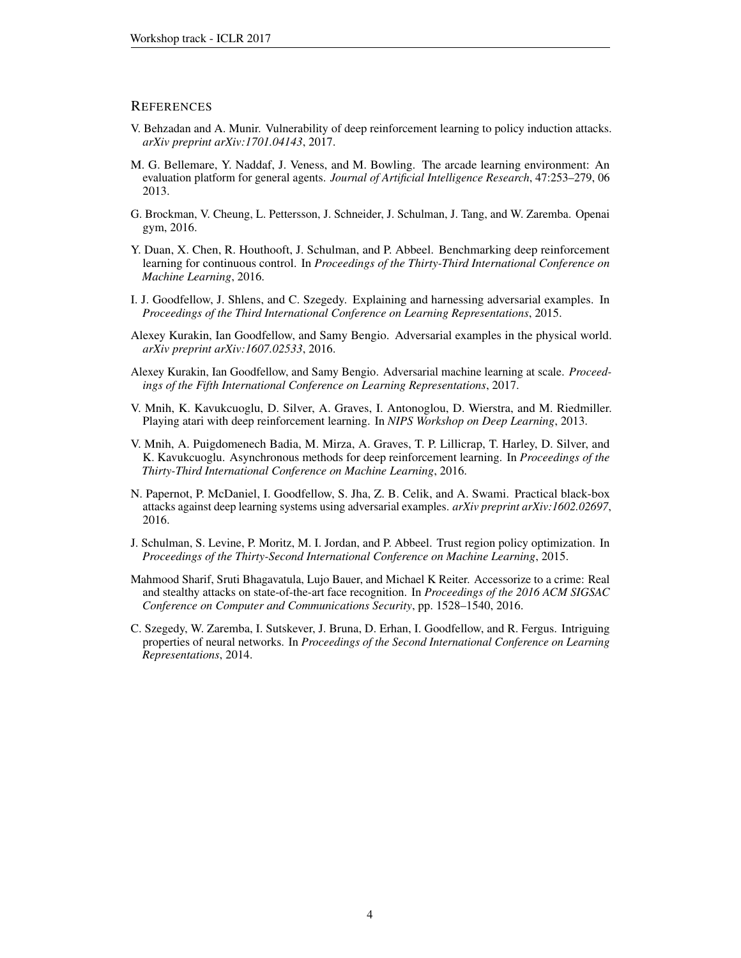#### **REFERENCES**

- <span id="page-3-5"></span>V. Behzadan and A. Munir. Vulnerability of deep reinforcement learning to policy induction attacks. *arXiv preprint arXiv:1701.04143*, 2017.
- <span id="page-3-7"></span>M. G. Bellemare, Y. Naddaf, J. Veness, and M. Bowling. The arcade learning environment: An evaluation platform for general agents. *Journal of Artificial Intelligence Research*, 47:253–279, 06 2013.
- <span id="page-3-12"></span>G. Brockman, V. Cheung, L. Pettersson, J. Schneider, J. Schulman, J. Tang, and W. Zaremba. Openai gym, 2016.
- <span id="page-3-11"></span>Y. Duan, X. Chen, R. Houthooft, J. Schulman, and P. Abbeel. Benchmarking deep reinforcement learning for continuous control. In *Proceedings of the Thirty-Third International Conference on Machine Learning*, 2016.
- <span id="page-3-1"></span>I. J. Goodfellow, J. Shlens, and C. Szegedy. Explaining and harnessing adversarial examples. In *Proceedings of the Third International Conference on Learning Representations*, 2015.
- <span id="page-3-3"></span>Alexey Kurakin, Ian Goodfellow, and Samy Bengio. Adversarial examples in the physical world. *arXiv preprint arXiv:1607.02533*, 2016.
- <span id="page-3-8"></span>Alexey Kurakin, Ian Goodfellow, and Samy Bengio. Adversarial machine learning at scale. *Proceedings of the Fifth International Conference on Learning Representations*, 2017.
- <span id="page-3-6"></span>V. Mnih, K. Kavukcuoglu, D. Silver, A. Graves, I. Antonoglou, D. Wierstra, and M. Riedmiller. Playing atari with deep reinforcement learning. In *NIPS Workshop on Deep Learning*, 2013.
- <span id="page-3-9"></span>V. Mnih, A. Puigdomenech Badia, M. Mirza, A. Graves, T. P. Lillicrap, T. Harley, D. Silver, and K. Kavukcuoglu. Asynchronous methods for deep reinforcement learning. In *Proceedings of the Thirty-Third International Conference on Machine Learning*, 2016.
- <span id="page-3-2"></span>N. Papernot, P. McDaniel, I. Goodfellow, S. Jha, Z. B. Celik, and A. Swami. Practical black-box attacks against deep learning systems using adversarial examples. *arXiv preprint arXiv:1602.02697*, 2016.
- <span id="page-3-10"></span>J. Schulman, S. Levine, P. Moritz, M. I. Jordan, and P. Abbeel. Trust region policy optimization. In *Proceedings of the Thirty-Second International Conference on Machine Learning*, 2015.
- <span id="page-3-4"></span>Mahmood Sharif, Sruti Bhagavatula, Lujo Bauer, and Michael K Reiter. Accessorize to a crime: Real and stealthy attacks on state-of-the-art face recognition. In *Proceedings of the 2016 ACM SIGSAC Conference on Computer and Communications Security*, pp. 1528–1540, 2016.
- <span id="page-3-0"></span>C. Szegedy, W. Zaremba, I. Sutskever, J. Bruna, D. Erhan, I. Goodfellow, and R. Fergus. Intriguing properties of neural networks. In *Proceedings of the Second International Conference on Learning Representations*, 2014.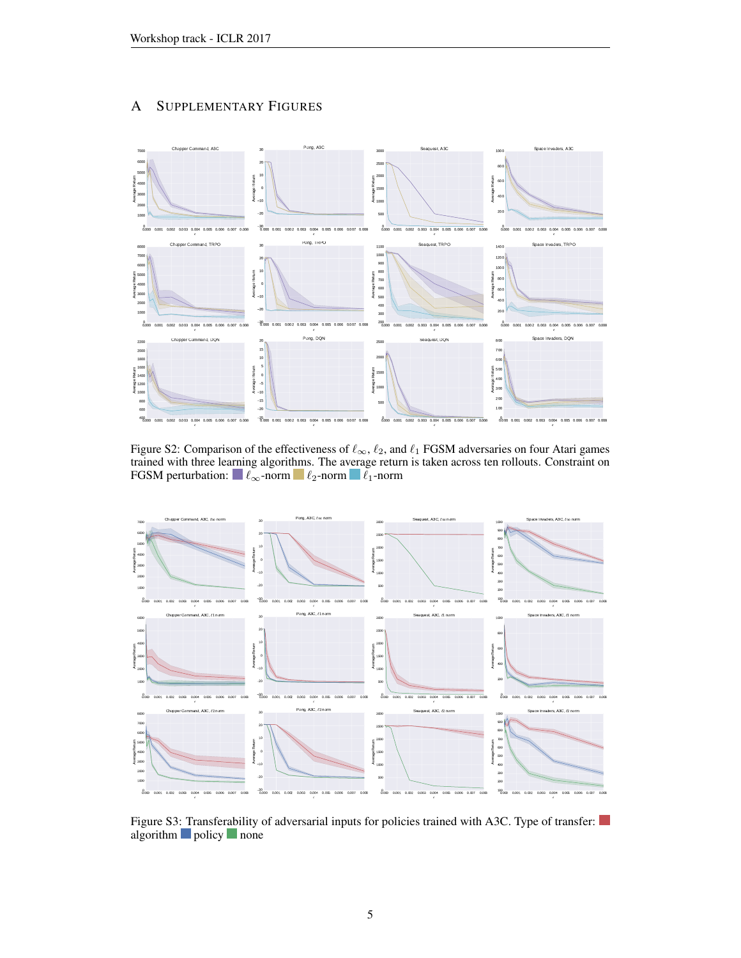# A SUPPLEMENTARY FIGURES

<span id="page-4-0"></span>

Figure S2: Comparison of the effectiveness of  $\ell_{\infty}$ ,  $\ell_2$ , and  $\ell_1$  FGSM adversaries on four Atari games trained with three learning algorithms. The average return is taken across ten rollouts. Constraint on FGSM perturbation:  $\blacksquare \ell_{\infty}$ -norm  $\blacksquare \ell_2$ -norm  $\blacksquare \ell_1$ -norm

<span id="page-4-1"></span>

Figure S3: Transferability of adversarial inputs for policies trained with A3C. Type of transfer: algorithm policy none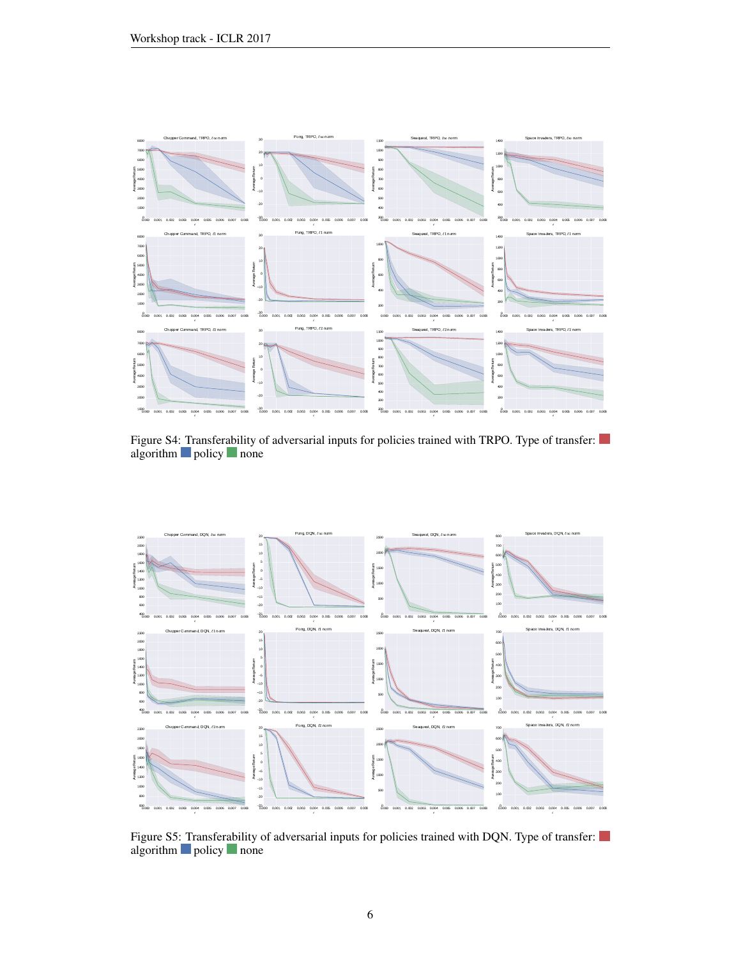<span id="page-5-0"></span>

Figure S4: Transferability of adversarial inputs for policies trained with TRPO. Type of transfer: algorithm **policy** none

<span id="page-5-1"></span>

Figure S5: Transferability of adversarial inputs for policies trained with DQN. Type of transfer: algorithm policy none